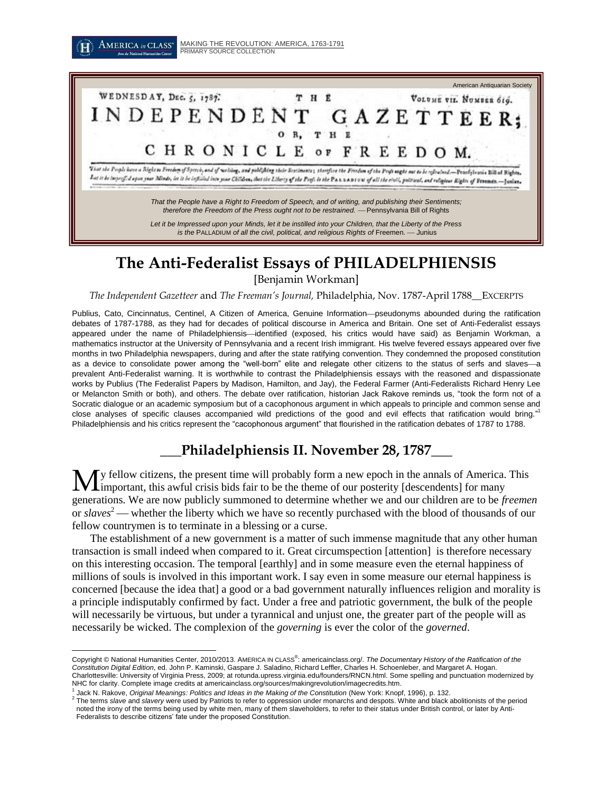

*is the* PALLADIUM of all the civil, political, and religious Rights of Freemen. - Junius

# **The Anti-Federalist Essays of PHILADELPHIENSIS**

[Benjamin Workman]

*The Independent Gazetteer* and *The Freeman's Journal,* Philadelphia, Nov. 1787-April 1788\_\_EXCERPTS

Publius, Cato, Cincinnatus, Centinel, A Citizen of America, Genuine Information-pseudonyms abounded during the ratification debates of 1787-1788, as they had for decades of political discourse in America and Britain. One set of Anti-Federalist essays appeared under the name of Philadelphiensis—identified (exposed, his critics would have said) as Benjamin Workman, a mathematics instructor at the University of Pennsylvania and a recent Irish immigrant. His twelve fevered essays appeared over five months in two Philadelphia newspapers, during and after the state ratifying convention. They condemned the proposed constitution as a device to consolidate power among the "well-born" elite and relegate other citizens to the status of serfs and slaves-a prevalent Anti-Federalist warning. It is worthwhile to contrast the Philadelphiensis essays with the reasoned and dispassionate works by Publius (The Federalist Papers by Madison, Hamilton, and Jay), the Federal Farmer (Anti-Federalists Richard Henry Lee or Melancton Smith or both), and others. The debate over ratification, historian Jack Rakove reminds us, "took the form not of a Socratic dialogue or an academic symposium but of a cacophonous argument in which appeals to principle and common sense and close analyses of specific clauses accompanied wild predictions of the good and evil effects that ratification would bring."<sup>1</sup> Philadelphiensis and his critics represent the "cacophonous argument" that flourished in the ratification debates of 1787 to 1788.

# **\_\_\_Philadelphiensis II. November 28, 1787\_\_\_**

y fellow citizens, the present time will probably form a new epoch in the annals of America. This **M** if the present time will probably form a new epoch in the annals of America.<br> **M** important, this awful crisis bids fair to be the theme of our posterity [descendents] for many generations. We are now publicly summoned to determine whether we and our children are to be *freemen* or *slaves*<sup>2</sup> whether the liberty which we have so recently purchased with the blood of thousands of our fellow countrymen is to terminate in a blessing or a curse.

The establishment of a new government is a matter of such immense magnitude that any other human transaction is small indeed when compared to it. Great circumspection [attention] is therefore necessary on this interesting occasion. The temporal [earthly] and in some measure even the eternal happiness of millions of souls is involved in this important work. I say even in some measure our eternal happiness is concerned [because the idea that] a good or a bad government naturally influences religion and morality is a principle indisputably confirmed by fact. Under a free and patriotic government, the bulk of the people will necessarily be virtuous, but under a tyrannical and unjust one, the greater part of the people will as necessarily be wicked. The complexion of the *governing* is ever the color of the *governed*.

 $\overline{a}$ 

Copyright © National Humanities Center, 2010/2013. AMERICA IN CLASS<sup>®</sup>: americainclass.org/. The Documentary History of the Ratification of the *Constitution Digital Edition*, ed. John P. Kaminski, Gaspare J. Saladino, Richard Leffler, Charles H. Schoenleber, and Margaret A. Hogan. Charlottesville: University of Virginia Press, 2009; at rotunda.upress.virginia.edu/founders/RNCN.html. Some spelling and punctuation modernized by NHC for clarity. Complete image credits at americainclass.org/sources/makingrevolution/imagecredits.htm.

<sup>1</sup> Jack N. Rakove, *Original Meanings: Politics and Ideas in the Making of the Constitution* (New York: Knopf, 1996), p. 132.

<sup>2</sup> The terms *slave* and *slavery* were used by Patriots to refer to oppression under monarchs and despots. White and black abolitionists of the period noted the irony of the terms being used by white men, many of them slaveholders, to refer to their status under British control, or later by Anti-Federalists to describe citizens' fate under the proposed Constitution.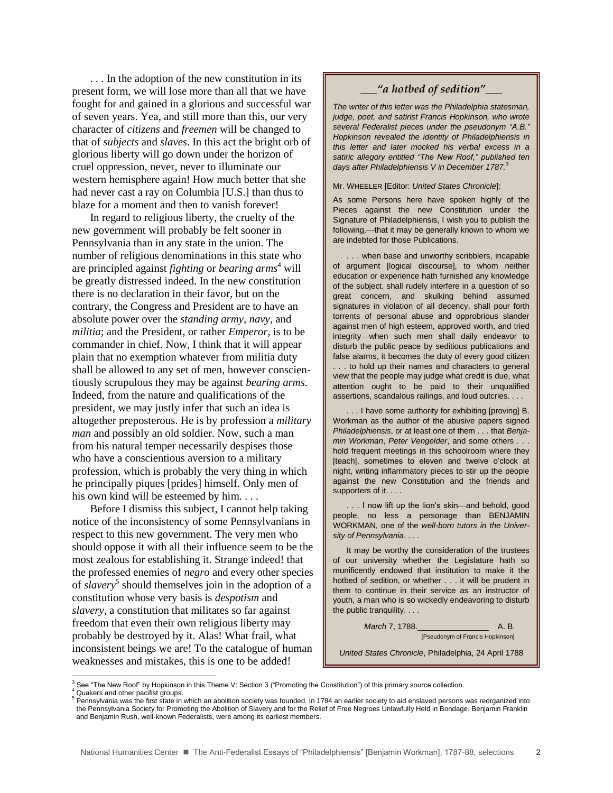. . . In the adoption of the new constitution in its present form, we will lose more than all that we have fought for and gained in a glorious and successful war of seven years. Yea, and still more than this, our very character of *citizens* and *freemen* will be changed to that of *subjects* and *slaves*. In this act the bright orb of glorious liberty will go down under the horizon of cruel oppression, never, never to illuminate our western hemisphere again! How much better that she had never cast a ray on Columbia [U.S.] than thus to blaze for a moment and then to vanish forever!

In regard to religious liberty, the cruelty of the new government will probably be felt sooner in Pennsylvania than in any state in the union. The number of religious denominations in this state who are principled against *fighting* or *bearing arms*<sup>4</sup> will be greatly distressed indeed. In the new constitution there is no declaration in their favor, but on the contrary, the Congress and President are to have an absolute power over the *standing army*, *navy*, and *militia*; and the President, or rather *Emperor*, is to be commander in chief. Now, I think that it will appear plain that no exemption whatever from militia duty shall be allowed to any set of men, however conscientiously scrupulous they may be against *bearing arms*. Indeed, from the nature and qualifications of the president, we may justly infer that such an idea is altogether preposterous. He is by profession a *military man* and possibly an old soldier. Now, such a man from his natural temper necessarily despises those who have a conscientious aversion to a military profession, which is probably the very thing in which he principally piques [prides] himself. Only men of his own kind will be esteemed by him....

Before I dismiss this subject, I cannot help taking notice of the inconsistency of some Pennsylvanians in respect to this new government. The very men who should oppose it with all their influence seem to be the most zealous for establishing it. Strange indeed! that the professed enemies of *negro* and every other species of *slavery*<sup>5</sup> should themselves join in the adoption of a constitution whose very basis is *despotism* and *slavery*, a constitution that militates so far against freedom that even their own religious liberty may probably be destroyed by it. Alas! What frail, what inconsistent beings we are! To the catalogue of human weaknesses and mistakes, this is one to be added!

### *\_\_\_"a hotbed of sedition"\_\_\_*

*The writer of this letter was the Philadelphia statesman, judge, poet, and satirist Francis Hopkinson, who wrote several Federalist pieces under the pseudonym "A.B." Hopkinson revealed the identity of Philadelphiensis in this letter and later mocked his verbal excess in a satiric allegory entitled "The New Roof," published ten days after Philadelphiensis V in December 1787.* 3

Mr. WHEELER [Editor: *United States Chronicle*]:

As some Persons here have spoken highly of the Pieces against the new Constitution under the Signature of Philadelphiensis, I wish you to publish the following,—that it may be generally known to whom we are indebted for those Publications.

. . . when base and unworthy scribblers, incapable of argument [logical discourse], to whom neither education or experience hath furnished any knowledge of the subject, shall rudely interfere in a question of so great concern, and skulking behind assumed signatures in violation of all decency, shall pour forth torrents of personal abuse and opprobrious slander against men of high esteem, approved worth, and tried integrity-when such men shall daily endeavor to disturb the public peace by seditious publications and false alarms, it becomes the duty of every good citizen . . . to hold up their names and characters to general view that the people may judge what credit is due, what attention ought to be paid to their unqualified assertions, scandalous railings, and loud outcries. . . .

... I have some authority for exhibiting [proving] B. Workman as the author of the abusive papers signed *Philadelphiensis*, or at least one of them . . . that *Benjamin Workman*, *Peter Vengelder*, and some others . . . hold frequent meetings in this schoolroom where they [teach], sometimes to eleven and twelve o'clock at night, writing inflammatory pieces to stir up the people against the new Constitution and the friends and supporters of it. . . .

. . I now lift up the lion's skin-and behold, good people, no less a personage than BENJAMIN WORKMAN, one of the *well-born tutors in the University of Pennsylvania*. . . .

It may be worthy the consideration of the trustees of our university whether the Legislature hath so munificently endowed that institution to make it the hotbed of sedition, or whether . . . it will be prudent in them to continue in their service as an instructor of youth, a man who is so wickedly endeavoring to disturb the public tranquility. . . .

> *March* 7, 1788.\_\_\_\_\_\_\_\_\_\_\_\_\_\_\_\_ A. B. [Pseudonym of Francis Hopkinson]

*United States Chronicle*, Philadelphia, 24 April 1788

 $\overline{a}$ 

 $3$  See "The New Roof" by Hopkinson in this Theme V: Section 3 ("Promoting the Constitution") of this primary source collection.

Quakers and other pacifist groups.

<sup>5</sup> Pennsylvania was the first state in which an abolition society was founded. In 1784 an earlier society to aid enslaved persons was reorganized into the Pennsylvania Society for Promoting the Abolition of Slavery and for the Relief of Free Negroes Unlawfully Held in Bondage. Benjamin Franklin and Benjamin Rush, well-known Federalists, were among its earliest members.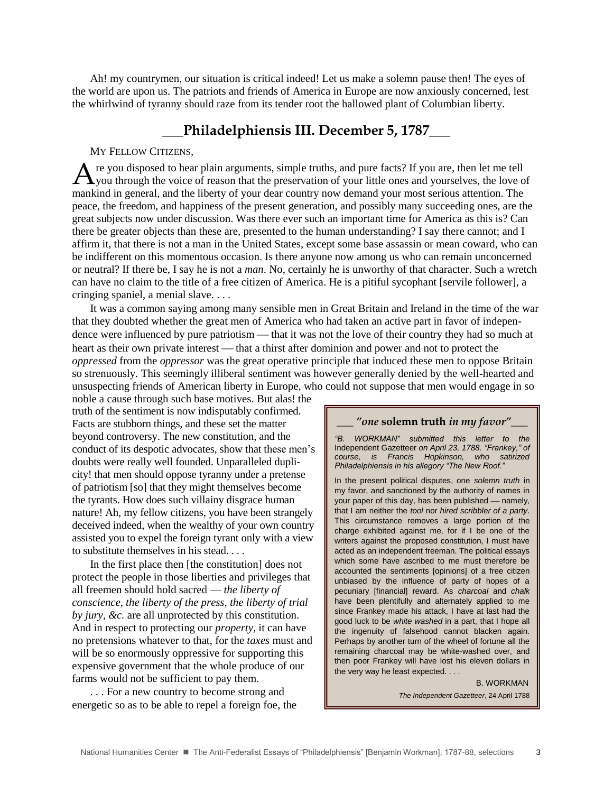Ah! my countrymen, our situation is critical indeed! Let us make a solemn pause then! The eyes of the world are upon us. The patriots and friends of America in Europe are now anxiously concerned, lest the whirlwind of tyranny should raze from its tender root the hallowed plant of Columbian liberty.

## **\_\_\_Philadelphiensis III. December 5, 1787\_\_\_**

### MY FELLOW CITIZENS*,*

re you disposed to hear plain arguments, simple truths, and pure facts? If you are, then let me tell A re you disposed to hear plain arguments, simple truths, and pure facts? If you are, then let me tell<br>
you through the voice of reason that the preservation of your little ones and yourselves, the love of mankind in general, and the liberty of your dear country now demand your most serious attention. The peace, the freedom, and happiness of the present generation, and possibly many succeeding ones, are the great subjects now under discussion. Was there ever such an important time for America as this is? Can there be greater objects than these are, presented to the human understanding? I say there cannot; and I affirm it, that there is not a man in the United States, except some base assassin or mean coward, who can be indifferent on this momentous occasion. Is there anyone now among us who can remain unconcerned or neutral? If there be, I say he is not a *man*. No, certainly he is unworthy of that character. Such a wretch can have no claim to the title of a free citizen of America. He is a pitiful sycophant [servile follower], a cringing spaniel, a menial slave. . . .

It was a common saying among many sensible men in Great Britain and Ireland in the time of the war that they doubted whether the great men of America who had taken an active part in favor of independence were influenced by pure patriotism — that it was not the love of their country they had so much at heart as their own private interest — that a thirst after dominion and power and not to protect the *oppressed* from the *oppressor* was the great operative principle that induced these men to oppose Britain so strenuously. This seemingly illiberal sentiment was however generally denied by the well-hearted and unsuspecting friends of American liberty in Europe, who could not suppose that men would engage in so

noble a cause through such base motives. But alas! the truth of the sentiment is now indisputably confirmed. Facts are stubborn things, and these set the matter beyond controversy. The new constitution, and the conduct of its despotic advocates, show that these men's doubts were really well founded. Unparalleled duplicity! that men should oppose tyranny under a pretense of patriotism [so] that they might themselves become the tyrants. How does such villainy disgrace human nature! Ah, my fellow citizens, you have been strangely deceived indeed, when the wealthy of your own country assisted you to expel the foreign tyrant only with a view to substitute themselves in his stead. . . .

In the first place then [the constitution] does not protect the people in those liberties and privileges that all freemen should hold sacred — *the liberty of conscience, the liberty of the press, the liberty of trial by jury, &c.* are all unprotected by this constitution. And in respect to protecting our *property*, it can have no pretensions whatever to that, for the *taxes* must and will be so enormously oppressive for supporting this expensive government that the whole produce of our farms would not be sufficient to pay them.

. . . For a new country to become strong and energetic so as to be able to repel a foreign foe, the

#### *\_\_\_ "one* **solemn truth** *in my favor"\_\_\_*

*"B. WORKMAN" submitted this letter to the*  Independent Gazetteer *on April 23, 1788. "Frankey," of course, is Francis Hopkinson, who satirized Philadelphiensis in his allegory "The New Roof."* 

In the present political disputes, one *solemn truth* in my favor, and sanctioned by the authority of names in your paper of this day, has been published - namely, that I am neither the *tool* nor *hired scribbler of a party*. This circumstance removes a large portion of the charge exhibited against me, for if I be one of the writers against the proposed constitution, I must have acted as an independent freeman. The political essays which some have ascribed to me must therefore be accounted the sentiments [opinions] of a free citizen unbiased by the influence of party of hopes of a pecuniary [financial] reward. As *charcoal* and *chalk* have been plentifully and alternately applied to me since Frankey made his attack, I have at last had the good luck to be *white washed* in a part, that I hope all the ingenuity of falsehood cannot blacken again. Perhaps by another turn of the wheel of fortune all the remaining charcoal may be white-washed over, and then poor Frankey will have lost his eleven dollars in the very way he least expected. . . .

> B. WORKMAN  *The Independent Gazetteer*, 24 April 1788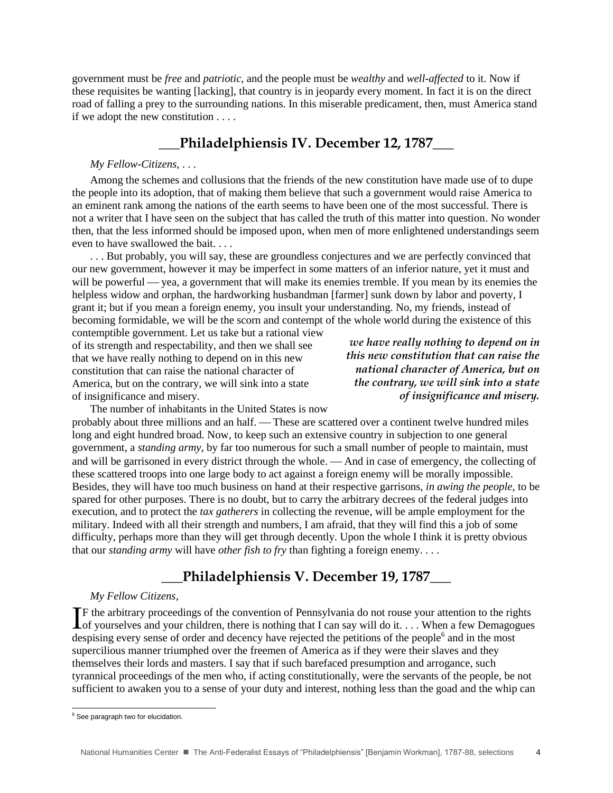government must be *free* and *patriotic,* and the people must be *wealthy* and *well-affected* to it. Now if these requisites be wanting [lacking], that country is in jeopardy every moment. In fact it is on the direct road of falling a prey to the surrounding nations. In this miserable predicament, then, must America stand if we adopt the new constitution . . . .

## **\_\_\_Philadelphiensis IV. December 12, 1787\_\_\_**

## *My Fellow-Citizens*, . . .

Among the schemes and collusions that the friends of the new constitution have made use of to dupe the people into its adoption, that of making them believe that such a government would raise America to an eminent rank among the nations of the earth seems to have been one of the most successful. There is not a writer that I have seen on the subject that has called the truth of this matter into question. No wonder then, that the less informed should be imposed upon, when men of more enlightened understandings seem even to have swallowed the bait. . . .

. . . But probably, you will say, these are groundless conjectures and we are perfectly convinced that our new government, however it may be imperfect in some matters of an inferior nature, yet it must and will be powerful — yea, a government that will make its enemies tremble. If you mean by its enemies the helpless widow and orphan, the hardworking husbandman [farmer] sunk down by labor and poverty, I grant it; but if you mean a foreign enemy, you insult your understanding. No, my friends, instead of becoming formidable, we will be the scorn and contempt of the whole world during the existence of this

contemptible government. Let us take but a rational view of its strength and respectability, and then we shall see that we have really nothing to depend on in this new constitution that can raise the national character of America, but on the contrary, we will sink into a state of insignificance and misery.

*we have really nothing to depend on in this new constitution that can raise the national character of America, but on the contrary, we will sink into a state of insignificance and misery.* 

The number of inhabitants in the United States is now

probably about three millions and an half. - These are scattered over a continent twelve hundred miles long and eight hundred broad. Now, to keep such an extensive country in subjection to one general government, a *standing army*, by far too numerous for such a small number of people to maintain, must and will be garrisoned in every district through the whole. — And in case of emergency, the collecting of these scattered troops into one large body to act against a foreign enemy will be morally impossible. Besides, they will have too much business on hand at their respective garrisons, *in awing the people*, to be spared for other purposes. There is no doubt, but to carry the arbitrary decrees of the federal judges into execution, and to protect the *tax gatherers* in collecting the revenue, will be ample employment for the military. Indeed with all their strength and numbers, I am afraid, that they will find this a job of some difficulty, perhaps more than they will get through decently. Upon the whole I think it is pretty obvious that our *standing army* will have *other fish to fry* than fighting a foreign enemy. . . .

# **\_\_\_Philadelphiensis V. December 19, 1787\_\_\_**

#### *My Fellow Citizens*,

F the arbitrary proceedings of the convention of Pennsylvania do not rouse your attention to the rights If the arbitrary proceedings of the convention of Pennsylvania do not rouse your attention to the rights of yourselves and your children, there is nothing that I can say will do it. . . . When a few Demagogues despising every sense of order and decency have rejected the petitions of the people<sup>6</sup> and in the most supercilious manner triumphed over the freemen of America as if they were their slaves and they themselves their lords and masters. I say that if such barefaced presumption and arrogance, such tyrannical proceedings of the men who, if acting constitutionally, were the servants of the people, be not sufficient to awaken you to a sense of your duty and interest, nothing less than the goad and the whip can

 $\overline{a}$ 

 $6$  See paragraph two for elucidation.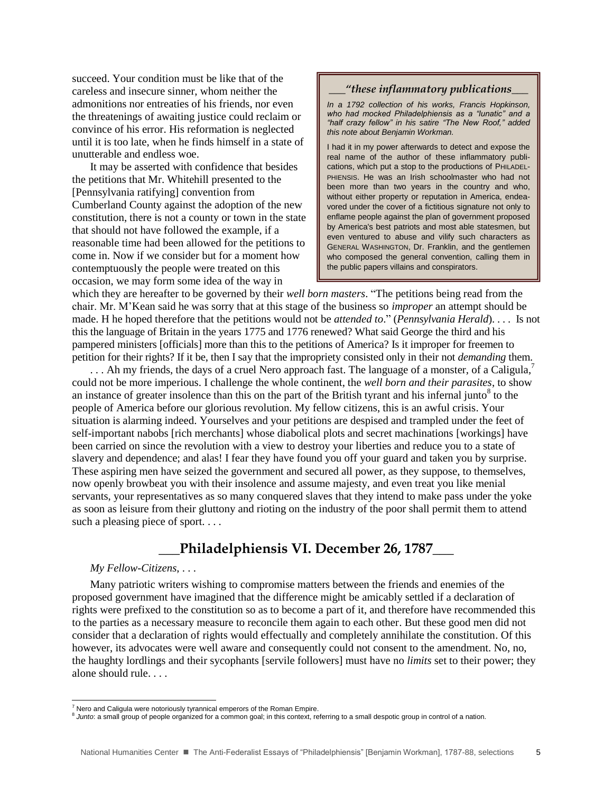succeed. Your condition must be like that of the careless and insecure sinner, whom neither the admonitions nor entreaties of his friends, nor even the threatenings of awaiting justice could reclaim or convince of his error. His reformation is neglected until it is too late, when he finds himself in a state of unutterable and endless woe.

It may be asserted with confidence that besides the petitions that Mr. Whitehill presented to the [Pennsylvania ratifying] convention from Cumberland County against the adoption of the new constitution, there is not a county or town in the state that should not have followed the example, if a reasonable time had been allowed for the petitions to come in. Now if we consider but for a moment how contemptuously the people were treated on this occasion, we may form some idea of the way in

### *\_\_\_"these inflammatory publications\_\_\_*

*In a 1792 collection of his works, Francis Hopkinson, who had mocked Philadelphiensis as a "lunatic" and a "half crazy fellow" in his satire "The New Roof," added this note about Benjamin Workman.*

I had it in my power afterwards to detect and expose the real name of the author of these inflammatory publications, which put a stop to the productions of PHILADEL-PHIENSIS. He was an Irish schoolmaster who had not been more than two years in the country and who, without either property or reputation in America, endeavored under the cover of a fictitious signature not only to enflame people against the plan of government proposed by America's best patriots and most able statesmen, but even ventured to abuse and vilify such characters as GENERAL WASHINGTON, Dr. Franklin, and the gentlemen who composed the general convention, calling them in the public papers villains and conspirators.

which they are hereafter to be governed by their *well born masters*. "The petitions being read from the chair. Mr. M'Kean said he was sorry that at this stage of the business so *improper* an attempt should be made. H he hoped therefore that the petitions would not be *attended to*." (*Pennsylvania Herald*). . . . Is not this the language of Britain in the years 1775 and 1776 renewed? What said George the third and his pampered ministers [officials] more than this to the petitions of America? Is it improper for freemen to petition for their rights? If it be, then I say that the impropriety consisted only in their not *demanding* them.

... Ah my friends, the days of a cruel Nero approach fast. The language of a monster, of a Caligula, $\overline{7}$ could not be more imperious. I challenge the whole continent, the *well born and their parasites*, to show an instance of greater insolence than this on the part of the British tyrant and his infernal junto<sup>8</sup> to the people of America before our glorious revolution. My fellow citizens, this is an awful crisis. Your situation is alarming indeed. Yourselves and your petitions are despised and trampled under the feet of self-important nabobs [rich merchants] whose diabolical plots and secret machinations [workings] have been carried on since the revolution with a view to destroy your liberties and reduce you to a state of slavery and dependence; and alas! I fear they have found you off your guard and taken you by surprise. These aspiring men have seized the government and secured all power, as they suppose, to themselves, now openly browbeat you with their insolence and assume majesty, and even treat you like menial servants, your representatives as so many conquered slaves that they intend to make pass under the yoke as soon as leisure from their gluttony and rioting on the industry of the poor shall permit them to attend such a pleasing piece of sport....

**\_\_\_Philadelphiensis VI. December 26, 1787\_\_\_**

#### *My Fellow-Citizens*, . . .

l

Many patriotic writers wishing to compromise matters between the friends and enemies of the proposed government have imagined that the difference might be amicably settled if a declaration of rights were prefixed to the constitution so as to become a part of it, and therefore have recommended this to the parties as a necessary measure to reconcile them again to each other. But these good men did not consider that a declaration of rights would effectually and completely annihilate the constitution. Of this however, its advocates were well aware and consequently could not consent to the amendment. No, no, the haughty lordlings and their sycophants [servile followers] must have no *limits* set to their power; they alone should rule. . . .

 $7$  Nero and Caligula were notoriously tyrannical emperors of the Roman Empire.

<sup>8</sup> *Junto*: a small group of people organized for a common goal; in this context, referring to a small despotic group in control of a nation.